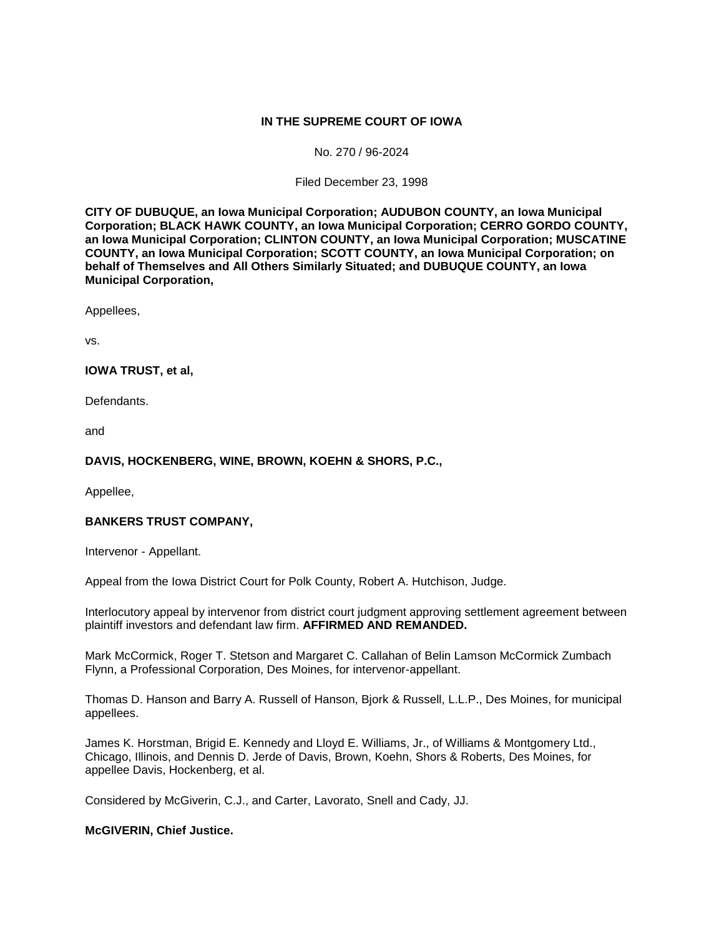## **IN THE SUPREME COURT OF IOWA**

#### No. 270 / 96-2024

#### Filed December 23, 1998

**CITY OF DUBUQUE, an Iowa Municipal Corporation; AUDUBON COUNTY, an Iowa Municipal Corporation; BLACK HAWK COUNTY, an Iowa Municipal Corporation; CERRO GORDO COUNTY, an Iowa Municipal Corporation; CLINTON COUNTY, an Iowa Municipal Corporation; MUSCATINE COUNTY, an Iowa Municipal Corporation; SCOTT COUNTY, an Iowa Municipal Corporation; on behalf of Themselves and All Others Similarly Situated; and DUBUQUE COUNTY, an Iowa Municipal Corporation,** 

Appellees,

vs.

### **IOWA TRUST, et al,**

Defendants.

and

### **DAVIS, HOCKENBERG, WINE, BROWN, KOEHN & SHORS, P.C.,**

Appellee,

### **BANKERS TRUST COMPANY,**

Intervenor - Appellant.

Appeal from the Iowa District Court for Polk County, Robert A. Hutchison, Judge.

Interlocutory appeal by intervenor from district court judgment approving settlement agreement between plaintiff investors and defendant law firm. **AFFIRMED AND REMANDED.** 

Mark McCormick, Roger T. Stetson and Margaret C. Callahan of Belin Lamson McCormick Zumbach Flynn, a Professional Corporation, Des Moines, for intervenor-appellant.

Thomas D. Hanson and Barry A. Russell of Hanson, Bjork & Russell, L.L.P., Des Moines, for municipal appellees.

James K. Horstman, Brigid E. Kennedy and Lloyd E. Williams, Jr., of Williams & Montgomery Ltd., Chicago, Illinois, and Dennis D. Jerde of Davis, Brown, Koehn, Shors & Roberts, Des Moines, for appellee Davis, Hockenberg, et al.

Considered by McGiverin, C.J., and Carter, Lavorato, Snell and Cady, JJ.

### **McGIVERIN, Chief Justice.**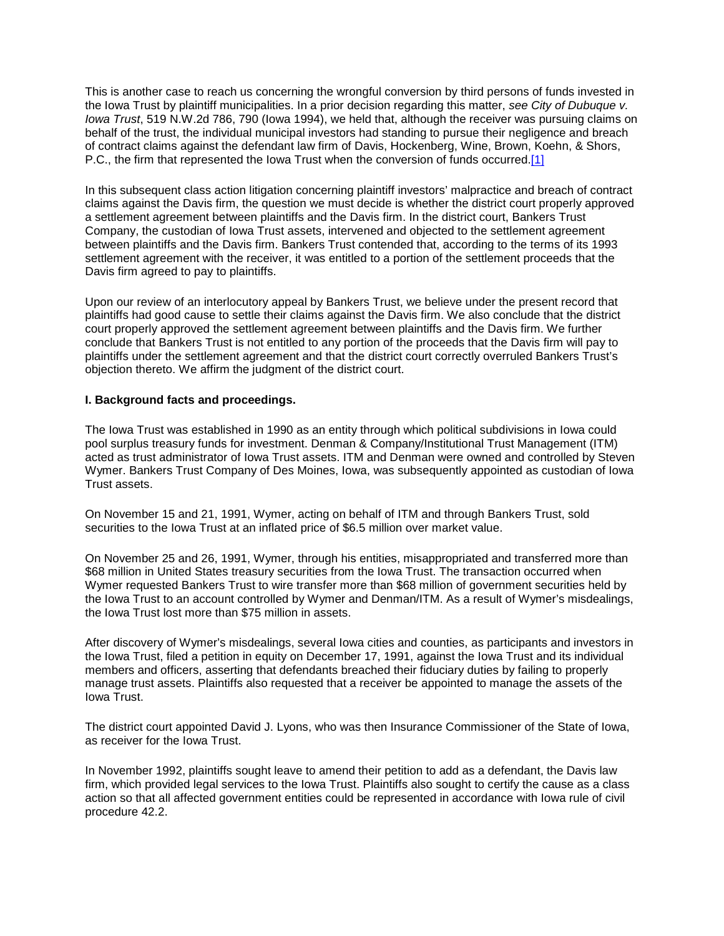This is another case to reach us concerning the wrongful conversion by third persons of funds invested in the Iowa Trust by plaintiff municipalities. In a prior decision regarding this matter, *see City of Dubuque v. Iowa Trust*, 519 N.W.2d 786, 790 (Iowa 1994), we held that, although the receiver was pursuing claims on behalf of the trust, the individual municipal investors had standing to pursue their negligence and breach of contract claims against the defendant law firm of Davis, Hockenberg, Wine, Brown, Koehn, & Shors, P.C., the firm that represented the Iowa Trust when the conversion of funds occurred[.\[1\]](http://www.iowacourts.gov/About_the_Courts/Supreme_Court/Supreme_Court_Opinions/Recent_Opinions/19981223/96-2024.asp?Printable=true#fn1)

In this subsequent class action litigation concerning plaintiff investors' malpractice and breach of contract claims against the Davis firm, the question we must decide is whether the district court properly approved a settlement agreement between plaintiffs and the Davis firm. In the district court, Bankers Trust Company, the custodian of Iowa Trust assets, intervened and objected to the settlement agreement between plaintiffs and the Davis firm. Bankers Trust contended that, according to the terms of its 1993 settlement agreement with the receiver, it was entitled to a portion of the settlement proceeds that the Davis firm agreed to pay to plaintiffs.

Upon our review of an interlocutory appeal by Bankers Trust, we believe under the present record that plaintiffs had good cause to settle their claims against the Davis firm. We also conclude that the district court properly approved the settlement agreement between plaintiffs and the Davis firm. We further conclude that Bankers Trust is not entitled to any portion of the proceeds that the Davis firm will pay to plaintiffs under the settlement agreement and that the district court correctly overruled Bankers Trust's objection thereto. We affirm the judgment of the district court.

### **I. Background facts and proceedings.**

The Iowa Trust was established in 1990 as an entity through which political subdivisions in Iowa could pool surplus treasury funds for investment. Denman & Company/Institutional Trust Management (ITM) acted as trust administrator of Iowa Trust assets. ITM and Denman were owned and controlled by Steven Wymer. Bankers Trust Company of Des Moines, Iowa, was subsequently appointed as custodian of Iowa Trust assets.

On November 15 and 21, 1991, Wymer, acting on behalf of ITM and through Bankers Trust, sold securities to the Iowa Trust at an inflated price of \$6.5 million over market value.

On November 25 and 26, 1991, Wymer, through his entities, misappropriated and transferred more than \$68 million in United States treasury securities from the Iowa Trust. The transaction occurred when Wymer requested Bankers Trust to wire transfer more than \$68 million of government securities held by the Iowa Trust to an account controlled by Wymer and Denman/ITM. As a result of Wymer's misdealings, the Iowa Trust lost more than \$75 million in assets.

After discovery of Wymer's misdealings, several Iowa cities and counties, as participants and investors in the Iowa Trust, filed a petition in equity on December 17, 1991, against the Iowa Trust and its individual members and officers, asserting that defendants breached their fiduciary duties by failing to properly manage trust assets. Plaintiffs also requested that a receiver be appointed to manage the assets of the Iowa Trust.

The district court appointed David J. Lyons, who was then Insurance Commissioner of the State of Iowa, as receiver for the Iowa Trust.

In November 1992, plaintiffs sought leave to amend their petition to add as a defendant, the Davis law firm, which provided legal services to the Iowa Trust. Plaintiffs also sought to certify the cause as a class action so that all affected government entities could be represented in accordance with Iowa rule of civil procedure 42.2.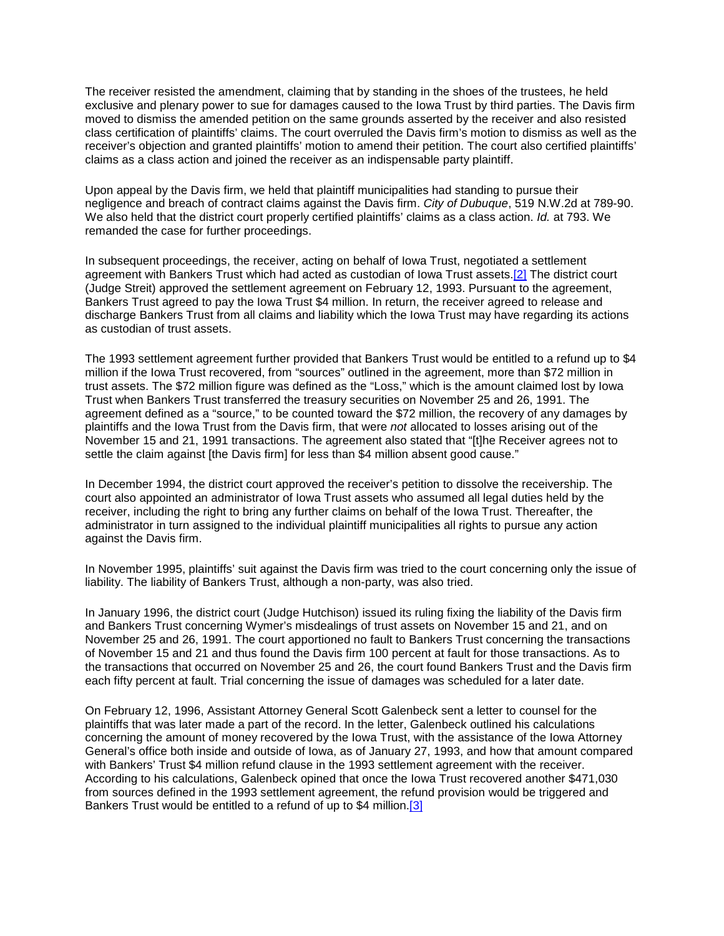The receiver resisted the amendment, claiming that by standing in the shoes of the trustees, he held exclusive and plenary power to sue for damages caused to the Iowa Trust by third parties. The Davis firm moved to dismiss the amended petition on the same grounds asserted by the receiver and also resisted class certification of plaintiffs' claims. The court overruled the Davis firm's motion to dismiss as well as the receiver's objection and granted plaintiffs' motion to amend their petition. The court also certified plaintiffs' claims as a class action and joined the receiver as an indispensable party plaintiff.

Upon appeal by the Davis firm, we held that plaintiff municipalities had standing to pursue their negligence and breach of contract claims against the Davis firm. *City of Dubuque*, 519 N.W.2d at 789-90. We also held that the district court properly certified plaintiffs' claims as a class action. *Id.* at 793. We remanded the case for further proceedings.

In subsequent proceedings, the receiver, acting on behalf of Iowa Trust, negotiated a settlement agreement with Bankers Trust which had acted as custodian of Iowa Trust assets[.\[2\]](http://www.iowacourts.gov/About_the_Courts/Supreme_Court/Supreme_Court_Opinions/Recent_Opinions/19981223/96-2024.asp?Printable=true#fn2) The district court (Judge Streit) approved the settlement agreement on February 12, 1993. Pursuant to the agreement, Bankers Trust agreed to pay the Iowa Trust \$4 million. In return, the receiver agreed to release and discharge Bankers Trust from all claims and liability which the Iowa Trust may have regarding its actions as custodian of trust assets.

The 1993 settlement agreement further provided that Bankers Trust would be entitled to a refund up to \$4 million if the Iowa Trust recovered, from "sources" outlined in the agreement, more than \$72 million in trust assets. The \$72 million figure was defined as the "Loss," which is the amount claimed lost by Iowa Trust when Bankers Trust transferred the treasury securities on November 25 and 26, 1991. The agreement defined as a "source," to be counted toward the \$72 million, the recovery of any damages by plaintiffs and the Iowa Trust from the Davis firm, that were *not* allocated to losses arising out of the November 15 and 21, 1991 transactions. The agreement also stated that "[t]he Receiver agrees not to settle the claim against [the Davis firm] for less than \$4 million absent good cause."

In December 1994, the district court approved the receiver's petition to dissolve the receivership. The court also appointed an administrator of Iowa Trust assets who assumed all legal duties held by the receiver, including the right to bring any further claims on behalf of the Iowa Trust. Thereafter, the administrator in turn assigned to the individual plaintiff municipalities all rights to pursue any action against the Davis firm.

In November 1995, plaintiffs' suit against the Davis firm was tried to the court concerning only the issue of liability. The liability of Bankers Trust, although a non-party, was also tried.

In January 1996, the district court (Judge Hutchison) issued its ruling fixing the liability of the Davis firm and Bankers Trust concerning Wymer's misdealings of trust assets on November 15 and 21, and on November 25 and 26, 1991. The court apportioned no fault to Bankers Trust concerning the transactions of November 15 and 21 and thus found the Davis firm 100 percent at fault for those transactions. As to the transactions that occurred on November 25 and 26, the court found Bankers Trust and the Davis firm each fifty percent at fault. Trial concerning the issue of damages was scheduled for a later date.

On February 12, 1996, Assistant Attorney General Scott Galenbeck sent a letter to counsel for the plaintiffs that was later made a part of the record. In the letter, Galenbeck outlined his calculations concerning the amount of money recovered by the Iowa Trust, with the assistance of the Iowa Attorney General's office both inside and outside of Iowa, as of January 27, 1993, and how that amount compared with Bankers' Trust \$4 million refund clause in the 1993 settlement agreement with the receiver. According to his calculations, Galenbeck opined that once the Iowa Trust recovered another \$471,030 from sources defined in the 1993 settlement agreement, the refund provision would be triggered and Bankers Trust would be entitled to a refund of up to \$4 million.<sup>[3]</sup>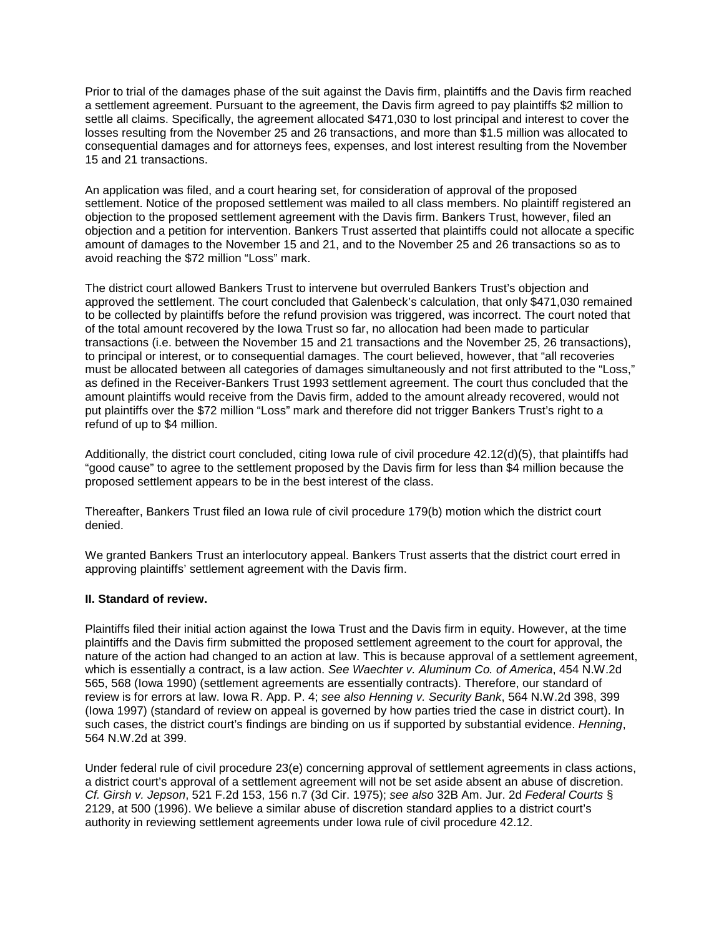Prior to trial of the damages phase of the suit against the Davis firm, plaintiffs and the Davis firm reached a settlement agreement. Pursuant to the agreement, the Davis firm agreed to pay plaintiffs \$2 million to settle all claims. Specifically, the agreement allocated \$471,030 to lost principal and interest to cover the losses resulting from the November 25 and 26 transactions, and more than \$1.5 million was allocated to consequential damages and for attorneys fees, expenses, and lost interest resulting from the November 15 and 21 transactions.

An application was filed, and a court hearing set, for consideration of approval of the proposed settlement. Notice of the proposed settlement was mailed to all class members. No plaintiff registered an objection to the proposed settlement agreement with the Davis firm. Bankers Trust, however, filed an objection and a petition for intervention. Bankers Trust asserted that plaintiffs could not allocate a specific amount of damages to the November 15 and 21, and to the November 25 and 26 transactions so as to avoid reaching the \$72 million "Loss" mark.

The district court allowed Bankers Trust to intervene but overruled Bankers Trust's objection and approved the settlement. The court concluded that Galenbeck's calculation, that only \$471,030 remained to be collected by plaintiffs before the refund provision was triggered, was incorrect. The court noted that of the total amount recovered by the Iowa Trust so far, no allocation had been made to particular transactions (i.e. between the November 15 and 21 transactions and the November 25, 26 transactions), to principal or interest, or to consequential damages. The court believed, however, that "all recoveries must be allocated between all categories of damages simultaneously and not first attributed to the "Loss," as defined in the Receiver-Bankers Trust 1993 settlement agreement. The court thus concluded that the amount plaintiffs would receive from the Davis firm, added to the amount already recovered, would not put plaintiffs over the \$72 million "Loss" mark and therefore did not trigger Bankers Trust's right to a refund of up to \$4 million.

Additionally, the district court concluded, citing Iowa rule of civil procedure 42.12(d)(5), that plaintiffs had "good cause" to agree to the settlement proposed by the Davis firm for less than \$4 million because the proposed settlement appears to be in the best interest of the class.

Thereafter, Bankers Trust filed an Iowa rule of civil procedure 179(b) motion which the district court denied.

We granted Bankers Trust an interlocutory appeal. Bankers Trust asserts that the district court erred in approving plaintiffs' settlement agreement with the Davis firm.

### **II. Standard of review.**

Plaintiffs filed their initial action against the Iowa Trust and the Davis firm in equity. However, at the time plaintiffs and the Davis firm submitted the proposed settlement agreement to the court for approval, the nature of the action had changed to an action at law. This is because approval of a settlement agreement, which is essentially a contract, is a law action. *See Waechter v. Aluminum Co. of America*, 454 N.W.2d 565, 568 (Iowa 1990) (settlement agreements are essentially contracts). Therefore, our standard of review is for errors at law. Iowa R. App. P. 4; *see also Henning v. Security Bank*, 564 N.W.2d 398, 399 (Iowa 1997) (standard of review on appeal is governed by how parties tried the case in district court). In such cases, the district court's findings are binding on us if supported by substantial evidence. *Henning*, 564 N.W.2d at 399.

Under federal rule of civil procedure 23(e) concerning approval of settlement agreements in class actions, a district court's approval of a settlement agreement will not be set aside absent an abuse of discretion. *Cf. Girsh v. Jepson*, 521 F.2d 153, 156 n.7 (3d Cir. 1975); *see also* 32B Am. Jur. 2d *Federal Courts* § 2129, at 500 (1996). We believe a similar abuse of discretion standard applies to a district court's authority in reviewing settlement agreements under Iowa rule of civil procedure 42.12.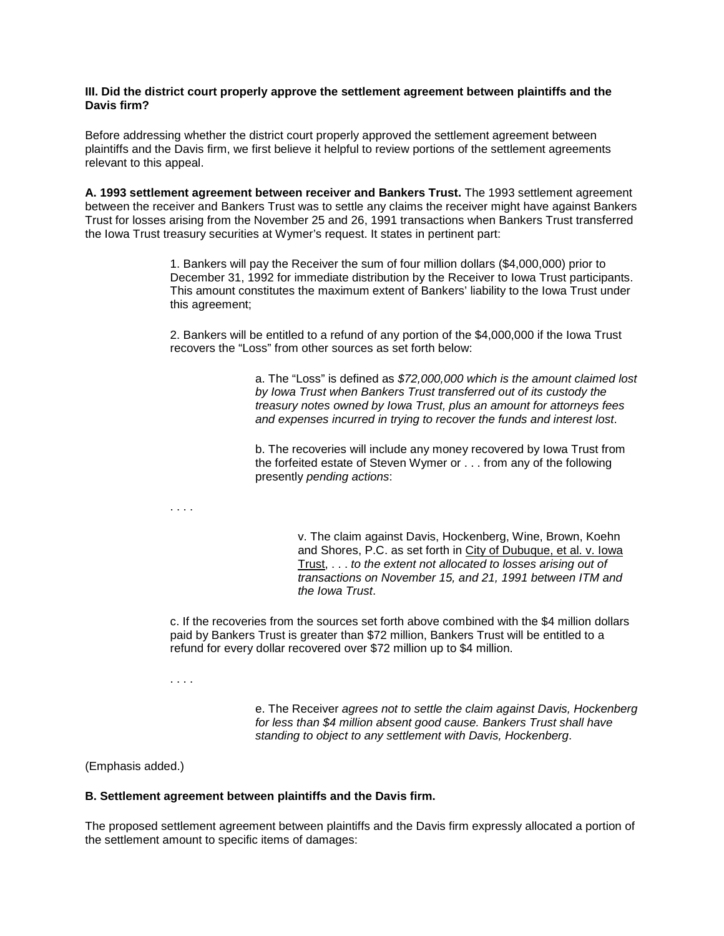### **III. Did the district court properly approve the settlement agreement between plaintiffs and the Davis firm?**

Before addressing whether the district court properly approved the settlement agreement between plaintiffs and the Davis firm, we first believe it helpful to review portions of the settlement agreements relevant to this appeal.

**A. 1993 settlement agreement between receiver and Bankers Trust.** The 1993 settlement agreement between the receiver and Bankers Trust was to settle any claims the receiver might have against Bankers Trust for losses arising from the November 25 and 26, 1991 transactions when Bankers Trust transferred the Iowa Trust treasury securities at Wymer's request. It states in pertinent part:

> 1. Bankers will pay the Receiver the sum of four million dollars (\$4,000,000) prior to December 31, 1992 for immediate distribution by the Receiver to Iowa Trust participants. This amount constitutes the maximum extent of Bankers' liability to the Iowa Trust under this agreement;

2. Bankers will be entitled to a refund of any portion of the \$4,000,000 if the Iowa Trust recovers the "Loss" from other sources as set forth below:

> a. The "Loss" is defined as *\$72,000,000 which is the amount claimed lost by Iowa Trust when Bankers Trust transferred out of its custody the treasury notes owned by Iowa Trust, plus an amount for attorneys fees and expenses incurred in trying to recover the funds and interest lost*.

b. The recoveries will include any money recovered by Iowa Trust from the forfeited estate of Steven Wymer or . . . from any of the following presently *pending actions*:

. . . .

v. The claim against Davis, Hockenberg, Wine, Brown, Koehn and Shores, P.C. as set forth in City of Dubuque, et al. v. Iowa Trust, . . . *to the extent not allocated to losses arising out of transactions on November 15, and 21, 1991 between ITM and the Iowa Trust*.

c. If the recoveries from the sources set forth above combined with the \$4 million dollars paid by Bankers Trust is greater than \$72 million, Bankers Trust will be entitled to a refund for every dollar recovered over \$72 million up to \$4 million.

. . . .

e. The Receiver *agrees not to settle the claim against Davis, Hockenberg for less than \$4 million absent good cause. Bankers Trust shall have standing to object to any settlement with Davis, Hockenberg*.

(Emphasis added.)

### **B. Settlement agreement between plaintiffs and the Davis firm.**

The proposed settlement agreement between plaintiffs and the Davis firm expressly allocated a portion of the settlement amount to specific items of damages: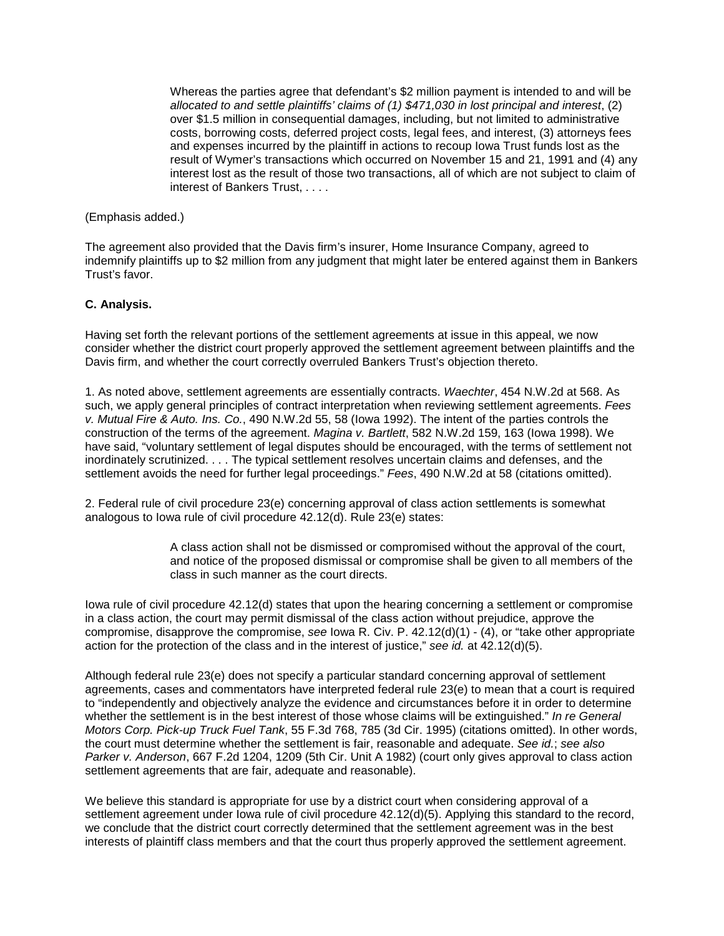Whereas the parties agree that defendant's \$2 million payment is intended to and will be *allocated to and settle plaintiffs' claims of (1) \$471,030 in lost principal and interest*, (2) over \$1.5 million in consequential damages, including, but not limited to administrative costs, borrowing costs, deferred project costs, legal fees, and interest, (3) attorneys fees and expenses incurred by the plaintiff in actions to recoup Iowa Trust funds lost as the result of Wymer's transactions which occurred on November 15 and 21, 1991 and (4) any interest lost as the result of those two transactions, all of which are not subject to claim of interest of Bankers Trust, . . . .

### (Emphasis added.)

The agreement also provided that the Davis firm's insurer, Home Insurance Company, agreed to indemnify plaintiffs up to \$2 million from any judgment that might later be entered against them in Bankers Trust's favor.

# **C. Analysis.**

Having set forth the relevant portions of the settlement agreements at issue in this appeal, we now consider whether the district court properly approved the settlement agreement between plaintiffs and the Davis firm, and whether the court correctly overruled Bankers Trust's objection thereto.

1. As noted above, settlement agreements are essentially contracts. *Waechter*, 454 N.W.2d at 568. As such, we apply general principles of contract interpretation when reviewing settlement agreements. *Fees v. Mutual Fire & Auto. Ins. Co.*, 490 N.W.2d 55, 58 (Iowa 1992). The intent of the parties controls the construction of the terms of the agreement. *Magina v. Bartlett*, 582 N.W.2d 159, 163 (Iowa 1998). We have said, "voluntary settlement of legal disputes should be encouraged, with the terms of settlement not inordinately scrutinized. . . . The typical settlement resolves uncertain claims and defenses, and the settlement avoids the need for further legal proceedings." *Fees*, 490 N.W.2d at 58 (citations omitted).

2. Federal rule of civil procedure 23(e) concerning approval of class action settlements is somewhat analogous to Iowa rule of civil procedure 42.12(d). Rule 23(e) states:

> A class action shall not be dismissed or compromised without the approval of the court, and notice of the proposed dismissal or compromise shall be given to all members of the class in such manner as the court directs.

Iowa rule of civil procedure 42.12(d) states that upon the hearing concerning a settlement or compromise in a class action, the court may permit dismissal of the class action without prejudice, approve the compromise, disapprove the compromise, *see* Iowa R. Civ. P. 42.12(d)(1) - (4), or "take other appropriate action for the protection of the class and in the interest of justice," *see id.* at 42.12(d)(5).

Although federal rule 23(e) does not specify a particular standard concerning approval of settlement agreements, cases and commentators have interpreted federal rule 23(e) to mean that a court is required to "independently and objectively analyze the evidence and circumstances before it in order to determine whether the settlement is in the best interest of those whose claims will be extinguished." *In re General Motors Corp. Pick-up Truck Fuel Tank*, 55 F.3d 768, 785 (3d Cir. 1995) (citations omitted). In other words, the court must determine whether the settlement is fair, reasonable and adequate. *See id.*; *see also Parker v. Anderson*, 667 F.2d 1204, 1209 (5th Cir. Unit A 1982) (court only gives approval to class action settlement agreements that are fair, adequate and reasonable).

We believe this standard is appropriate for use by a district court when considering approval of a settlement agreement under Iowa rule of civil procedure 42.12(d)(5). Applying this standard to the record, we conclude that the district court correctly determined that the settlement agreement was in the best interests of plaintiff class members and that the court thus properly approved the settlement agreement.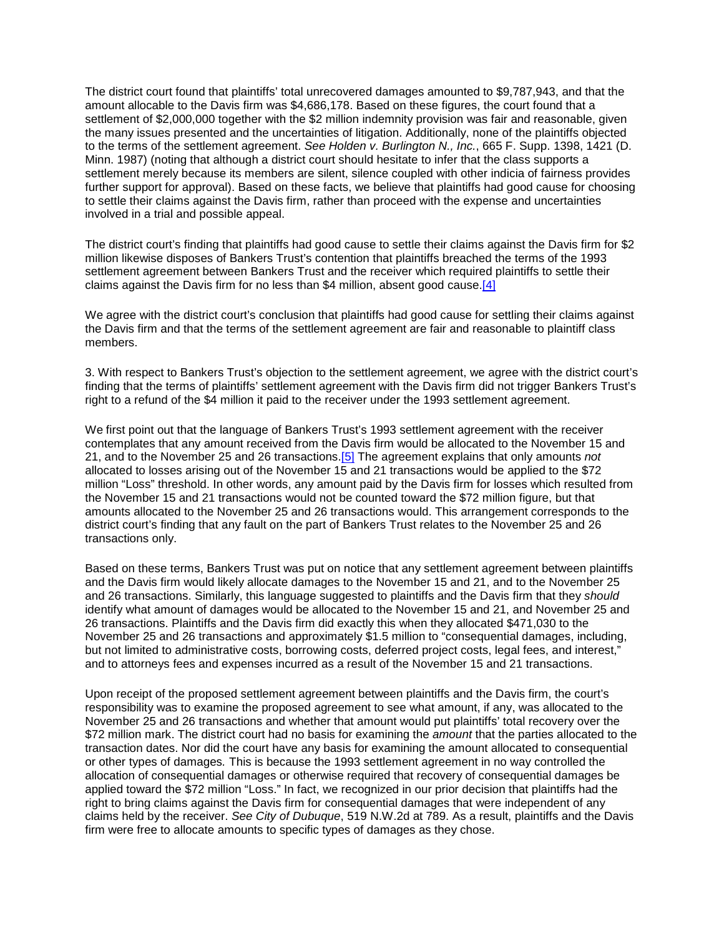The district court found that plaintiffs' total unrecovered damages amounted to \$9,787,943, and that the amount allocable to the Davis firm was \$4,686,178. Based on these figures, the court found that a settlement of \$2,000,000 together with the \$2 million indemnity provision was fair and reasonable, given the many issues presented and the uncertainties of litigation. Additionally, none of the plaintiffs objected to the terms of the settlement agreement. *See Holden v. Burlington N., Inc.*, 665 F. Supp. 1398, 1421 (D. Minn. 1987) (noting that although a district court should hesitate to infer that the class supports a settlement merely because its members are silent, silence coupled with other indicia of fairness provides further support for approval). Based on these facts, we believe that plaintiffs had good cause for choosing to settle their claims against the Davis firm, rather than proceed with the expense and uncertainties involved in a trial and possible appeal.

The district court's finding that plaintiffs had good cause to settle their claims against the Davis firm for \$2 million likewise disposes of Bankers Trust's contention that plaintiffs breached the terms of the 1993 settlement agreement between Bankers Trust and the receiver which required plaintiffs to settle their claims against the Davis firm for no less than \$4 million, absent good cause.<sup>[4]</sup>

We agree with the district court's conclusion that plaintiffs had good cause for settling their claims against the Davis firm and that the terms of the settlement agreement are fair and reasonable to plaintiff class members.

3. With respect to Bankers Trust's objection to the settlement agreement, we agree with the district court's finding that the terms of plaintiffs' settlement agreement with the Davis firm did not trigger Bankers Trust's right to a refund of the \$4 million it paid to the receiver under the 1993 settlement agreement.

We first point out that the language of Bankers Trust's 1993 settlement agreement with the receiver contemplates that any amount received from the Davis firm would be allocated to the November 15 and 21, and to the November 25 and 26 transactions[.\[5\]](http://www.iowacourts.gov/About_the_Courts/Supreme_Court/Supreme_Court_Opinions/Recent_Opinions/19981223/96-2024.asp?Printable=true#fn5) The agreement explains that only amounts *not*  allocated to losses arising out of the November 15 and 21 transactions would be applied to the \$72 million "Loss" threshold. In other words, any amount paid by the Davis firm for losses which resulted from the November 15 and 21 transactions would not be counted toward the \$72 million figure, but that amounts allocated to the November 25 and 26 transactions would. This arrangement corresponds to the district court's finding that any fault on the part of Bankers Trust relates to the November 25 and 26 transactions only.

Based on these terms, Bankers Trust was put on notice that any settlement agreement between plaintiffs and the Davis firm would likely allocate damages to the November 15 and 21, and to the November 25 and 26 transactions. Similarly, this language suggested to plaintiffs and the Davis firm that they *should* identify what amount of damages would be allocated to the November 15 and 21, and November 25 and 26 transactions. Plaintiffs and the Davis firm did exactly this when they allocated \$471,030 to the November 25 and 26 transactions and approximately \$1.5 million to "consequential damages, including, but not limited to administrative costs, borrowing costs, deferred project costs, legal fees, and interest," and to attorneys fees and expenses incurred as a result of the November 15 and 21 transactions.

Upon receipt of the proposed settlement agreement between plaintiffs and the Davis firm, the court's responsibility was to examine the proposed agreement to see what amount, if any, was allocated to the November 25 and 26 transactions and whether that amount would put plaintiffs' total recovery over the \$72 million mark. The district court had no basis for examining the *amount* that the parties allocated to the transaction dates. Nor did the court have any basis for examining the amount allocated to consequential or other types of damages*.* This is because the 1993 settlement agreement in no way controlled the allocation of consequential damages or otherwise required that recovery of consequential damages be applied toward the \$72 million "Loss." In fact, we recognized in our prior decision that plaintiffs had the right to bring claims against the Davis firm for consequential damages that were independent of any claims held by the receiver. *See City of Dubuque*, 519 N.W.2d at 789. As a result, plaintiffs and the Davis firm were free to allocate amounts to specific types of damages as they chose.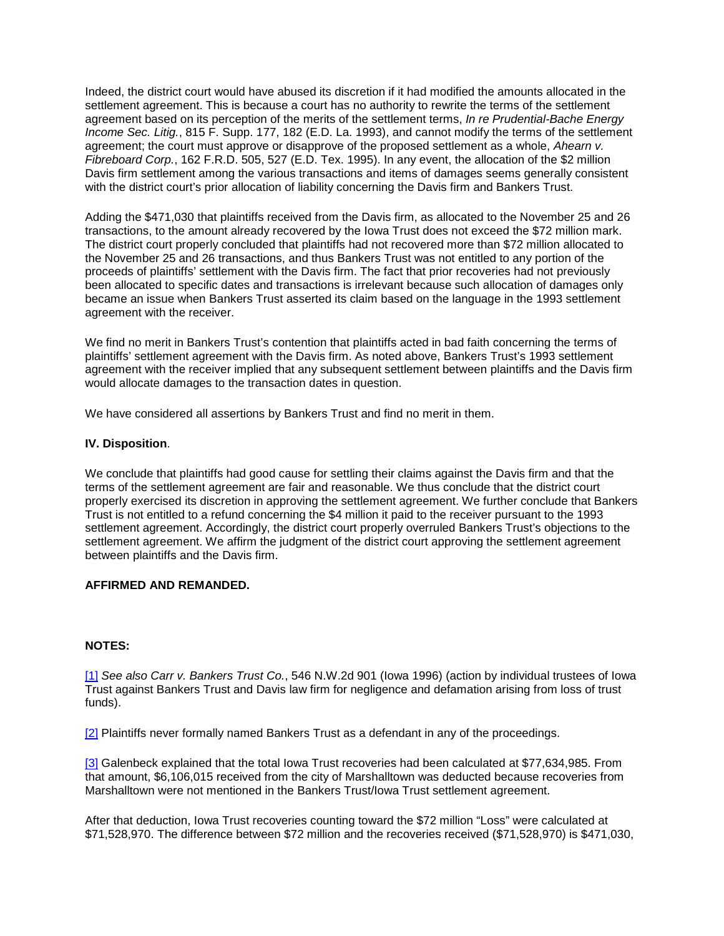Indeed, the district court would have abused its discretion if it had modified the amounts allocated in the settlement agreement. This is because a court has no authority to rewrite the terms of the settlement agreement based on its perception of the merits of the settlement terms, *In re Prudential-Bache Energy Income Sec. Litig.*, 815 F. Supp. 177, 182 (E.D. La. 1993), and cannot modify the terms of the settlement agreement; the court must approve or disapprove of the proposed settlement as a whole, *Ahearn v. Fibreboard Corp.*, 162 F.R.D. 505, 527 (E.D. Tex. 1995). In any event, the allocation of the \$2 million Davis firm settlement among the various transactions and items of damages seems generally consistent with the district court's prior allocation of liability concerning the Davis firm and Bankers Trust.

Adding the \$471,030 that plaintiffs received from the Davis firm, as allocated to the November 25 and 26 transactions, to the amount already recovered by the Iowa Trust does not exceed the \$72 million mark. The district court properly concluded that plaintiffs had not recovered more than \$72 million allocated to the November 25 and 26 transactions, and thus Bankers Trust was not entitled to any portion of the proceeds of plaintiffs' settlement with the Davis firm. The fact that prior recoveries had not previously been allocated to specific dates and transactions is irrelevant because such allocation of damages only became an issue when Bankers Trust asserted its claim based on the language in the 1993 settlement agreement with the receiver.

We find no merit in Bankers Trust's contention that plaintiffs acted in bad faith concerning the terms of plaintiffs' settlement agreement with the Davis firm. As noted above, Bankers Trust's 1993 settlement agreement with the receiver implied that any subsequent settlement between plaintiffs and the Davis firm would allocate damages to the transaction dates in question.

We have considered all assertions by Bankers Trust and find no merit in them.

### **IV. Disposition**.

We conclude that plaintiffs had good cause for settling their claims against the Davis firm and that the terms of the settlement agreement are fair and reasonable. We thus conclude that the district court properly exercised its discretion in approving the settlement agreement. We further conclude that Bankers Trust is not entitled to a refund concerning the \$4 million it paid to the receiver pursuant to the 1993 settlement agreement. Accordingly, the district court properly overruled Bankers Trust's objections to the settlement agreement. We affirm the judgment of the district court approving the settlement agreement between plaintiffs and the Davis firm.

# **AFFIRMED AND REMANDED.**

## **NOTES:**

[\[1\]](http://www.iowacourts.gov/About_the_Courts/Supreme_Court/Supreme_Court_Opinions/Recent_Opinions/19981223/96-2024.asp?Printable=true#f1) *See also Carr v. Bankers Trust Co.*, 546 N.W.2d 901 (Iowa 1996) (action by individual trustees of Iowa Trust against Bankers Trust and Davis law firm for negligence and defamation arising from loss of trust funds).

[\[2\]](http://www.iowacourts.gov/About_the_Courts/Supreme_Court/Supreme_Court_Opinions/Recent_Opinions/19981223/96-2024.asp?Printable=true#f2) Plaintiffs never formally named Bankers Trust as a defendant in any of the proceedings.

[\[3\]](http://www.iowacourts.gov/About_the_Courts/Supreme_Court/Supreme_Court_Opinions/Recent_Opinions/19981223/96-2024.asp?Printable=true#f3) Galenbeck explained that the total Iowa Trust recoveries had been calculated at \$77,634,985. From that amount, \$6,106,015 received from the city of Marshalltown was deducted because recoveries from Marshalltown were not mentioned in the Bankers Trust/Iowa Trust settlement agreement.

After that deduction, Iowa Trust recoveries counting toward the \$72 million "Loss" were calculated at \$71,528,970. The difference between \$72 million and the recoveries received (\$71,528,970) is \$471,030,